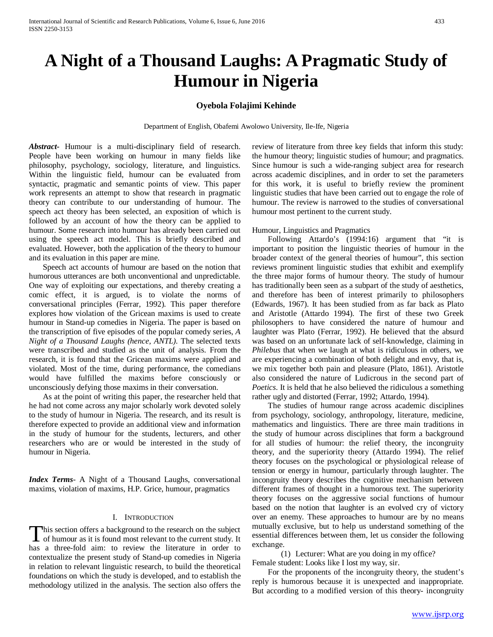# **A Night of a Thousand Laughs: A Pragmatic Study of Humour in Nigeria**

# **Oyebola Folajimi Kehinde**

Department of English, Obafemi Awolowo University, Ile-Ife, Nigeria

*Abstract***-** Humour is a multi-disciplinary field of research. People have been working on humour in many fields like philosophy, psychology, sociology, literature, and linguistics. Within the linguistic field, humour can be evaluated from syntactic, pragmatic and semantic points of view. This paper work represents an attempt to show that research in pragmatic theory can contribute to our understanding of humour. The speech act theory has been selected, an exposition of which is followed by an account of how the theory can be applied to humour. Some research into humour has already been carried out using the speech act model. This is briefly described and evaluated. However, both the application of the theory to humour and its evaluation in this paper are mine.

 Speech act accounts of humour are based on the notion that humorous utterances are both unconventional and unpredictable. One way of exploiting our expectations, and thereby creating a comic effect, it is argued, is to violate the norms of conversational principles (Ferrar, 1992). This paper therefore explores how violation of the Gricean maxims is used to create humour in Stand-up comedies in Nigeria. The paper is based on the transcription of five episodes of the popular comedy series, *A Night of a Thousand Laughs (hence, ANTL)*. The selected texts were transcribed and studied as the unit of analysis. From the research, it is found that the Gricean maxims were applied and violated. Most of the time, during performance, the comedians would have fulfilled the maxims before consciously or unconsciously defying those maxims in their conversation.

 As at the point of writing this paper, the researcher held that he had not come across any major scholarly work devoted solely to the study of humour in Nigeria. The research, and its result is therefore expected to provide an additional view and information in the study of humour for the students, lecturers, and other researchers who are or would be interested in the study of humour in Nigeria.

*Index Terms*- A Night of a Thousand Laughs, conversational maxims, violation of maxims, H.P. Grice, humour, pragmatics

#### I. INTRODUCTION

This section offers a background to the research on the subject This section offers a background to the research on the subject<br>of humour as it is found most relevant to the current study. It has a three-fold aim: to review the literature in order to contextualize the present study of Stand-up comedies in Nigeria in relation to relevant linguistic research, to build the theoretical foundations on which the study is developed, and to establish the methodology utilized in the analysis. The section also offers the

review of literature from three key fields that inform this study: the humour theory; linguistic studies of humour; and pragmatics. Since humour is such a wide-ranging subject area for research across academic disciplines, and in order to set the parameters for this work, it is useful to briefly review the prominent linguistic studies that have been carried out to engage the role of humour. The review is narrowed to the studies of conversational humour most pertinent to the current study.

#### Humour, Linguistics and Pragmatics

 Following Attardo's (1994:16) argument that "it is important to position the linguistic theories of humour in the broader context of the general theories of humour", this section reviews prominent linguistic studies that exhibit and exemplify the three major forms of humour theory. The study of humour has traditionally been seen as a subpart of the study of aesthetics, and therefore has been of interest primarily to philosophers (Edwards, 1967). It has been studied from as far back as Plato and Aristotle (Attardo 1994). The first of these two Greek philosophers to have considered the nature of humour and laughter was Plato (Ferrar, 1992). He believed that the absurd was based on an unfortunate lack of self-knowledge, claiming in *Philebus* that when we laugh at what is ridiculous in others, we are experiencing a combination of both delight and envy, that is, we mix together both pain and pleasure (Plato, 1861). Aristotle also considered the nature of Ludicrous in the second part of *Poetics*. It is held that he also believed the ridiculous a something rather ugly and distorted (Ferrar, 1992; Attardo, 1994).

 The studies of humour range across academic disciplines from psychology, sociology, anthropology, literature, medicine, mathematics and linguistics. There are three main traditions in the study of humour across disciplines that form a background for all studies of humour: the relief theory, the incongruity theory, and the superiority theory (Attardo 1994). The relief theory focuses on the psychological or physiological release of tension or energy in humour, particularly through laughter. The incongruity theory describes the cognitive mechanism between different frames of thought in a humorous text. The superiority theory focuses on the aggressive social functions of humour based on the notion that laughter is an evolved cry of victory over an enemy. These approaches to humour are by no means mutually exclusive, but to help us understand something of the essential differences between them, let us consider the following exchange.

(1) Lecturer: What are you doing in my office? Female student: Looks like I lost my way, sir.

 For the proponents of the incongruity theory, the student's reply is humorous because it is unexpected and inappropriate. But according to a modified version of this theory- incongruity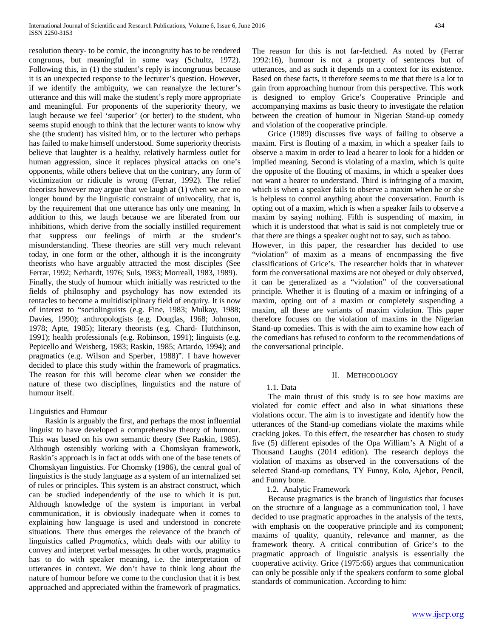resolution theory- to be comic, the incongruity has to be rendered congruous, but meaningful in some way (Schultz, 1972). Following this, in (1) the student's reply is incongruous because it is an unexpected response to the lecturer's question. However, if we identify the ambiguity, we can reanalyze the lecturer's utterance and this will make the student's reply more appropriate and meaningful. For proponents of the superiority theory, we laugh because we feel 'superior' (or better) to the student, who seems stupid enough to think that the lecturer wants to know why she (the student) has visited him, or to the lecturer who perhaps has failed to make himself understood. Some superiority theorists believe that laughter is a healthy, relatively harmless outlet for human aggression, since it replaces physical attacks on one's opponents, while others believe that on the contrary, any form of victimization or ridicule is wrong (Ferrar, 1992). The relief theorists however may argue that we laugh at (1) when we are no longer bound by the linguistic constraint of univocality, that is, by the requirement that one utterance has only one meaning. In addition to this, we laugh because we are liberated from our inhibitions, which derive from the socially instilled requirement that suppress our feelings of mirth at the student's misunderstanding. These theories are still very much relevant today, in one form or the other, although it is the incongruity theorists who have arguably attracted the most disciples (See Ferrar, 1992; Nerhardt, 1976; Suls, 1983; Morreall, 1983, 1989). Finally, the study of humour which initially was restricted to the fields of philosophy and psychology has now extended its tentacles to become a multidisciplinary field of enquiry. It is now of interest to "sociolinguists (e.g. Fine, 1983; Mulkay, 1988; Davies, 1990); anthropologists (e.g. Douglas, 1968; Johnson, 1978; Apte, 1985); literary theorists (e.g. Chard- Hutchinson, 1991); health professionals (e.g. Robinson, 1991); linguists (e.g. Pepicello and Weisberg, 1983; Raskin, 1985; Attardo, 1994); and pragmatics (e.g. Wilson and Sperber, 1988)". I have however decided to place this study within the framework of pragmatics. The reason for this will become clear when we consider the nature of these two disciplines, linguistics and the nature of humour itself.

## Linguistics and Humour

 Raskin is arguably the first, and perhaps the most influential linguist to have developed a comprehensive theory of humour. This was based on his own semantic theory (See Raskin, 1985). Although ostensibly working with a Chomskyan framework, Raskin's approach is in fact at odds with one of the base tenets of Chomskyan linguistics. For Chomsky (1986), the central goal of linguistics is the study language as a system of an internalized set of rules or principles. This system is an abstract construct, which can be studied independently of the use to which it is put. Although knowledge of the system is important in verbal communication, it is obviously inadequate when it comes to explaining how language is used and understood in concrete situations. There thus emerges the relevance of the branch of linguistics called *Pragmatics*, which deals with our ability to convey and interpret verbal messages. In other words, pragmatics has to do with speaker meaning, i.e. the interpretation of utterances in context. We don't have to think long about the nature of humour before we come to the conclusion that it is best approached and appreciated within the framework of pragmatics. The reason for this is not far-fetched. As noted by (Ferrar 1992:16), humour is not a property of sentences but of utterances, and as such it depends on a context for its existence. Based on these facts, it therefore seems to me that there is a lot to gain from approaching humour from this perspective. This work is designed to employ Grice's Cooperative Principle and accompanying maxims as basic theory to investigate the relation between the creation of humour in Nigerian Stand-up comedy and violation of the cooperative principle.

 Grice (1989) discusses five ways of failing to observe a maxim. First is flouting of a maxim, in which a speaker fails to observe a maxim in order to lead a hearer to look for a hidden or implied meaning. Second is violating of a maxim, which is quite the opposite of the flouting of maxims, in which a speaker does not want a hearer to understand. Third is infringing of a maxim, which is when a speaker fails to observe a maxim when he or she is helpless to control anything about the conversation. Fourth is opting out of a maxim, which is when a speaker fails to observe a maxim by saying nothing. Fifth is suspending of maxim, in which it is understood that what is said is not completely true or that there are things a speaker ought not to say, such as taboo.

However, in this paper, the researcher has decided to use "violation" of maxim as a means of encompassing the five classifications of Grice's. The researcher holds that in whatever form the conversational maxims are not obeyed or duly observed, it can be generalized as a "violation" of the conversational principle. Whether it is flouting of a maxim or infringing of a maxim, opting out of a maxim or completely suspending a maxim, all these are variants of maxim violation. This paper therefore focuses on the violation of maxims in the Nigerian Stand-up comedies. This is with the aim to examine how each of the comedians has refused to conform to the recommendations of the conversational principle.

## II. METHODOLOGY

## 1.1. Data

 The main thrust of this study is to see how maxims are violated for comic effect and also in what situations these violations occur. The aim is to investigate and identify how the utterances of the Stand-up comedians violate the maxims while cracking jokes. To this effect, the researcher has chosen to study five (5) different episodes of the Opa William's A Night of a Thousand Laughs (2014 edition). The research deploys the violation of maxims as observed in the conversations of the selected Stand-up comedians, TY Funny, Kolo, Ajebor, Pencil, and Funny bone.

1.2. Analytic Framework

 Because pragmatics is the branch of linguistics that focuses on the structure of a language as a communication tool, I have decided to use pragmatic approaches in the analysis of the texts, with emphasis on the cooperative principle and its component; maxims of quality, quantity, relevance and manner, as the framework theory. A critical contribution of Grice's to the pragmatic approach of linguistic analysis is essentially the cooperative activity. Grice (1975:66) argues that communication can only be possible only if the speakers conform to some global standards of communication. According to him: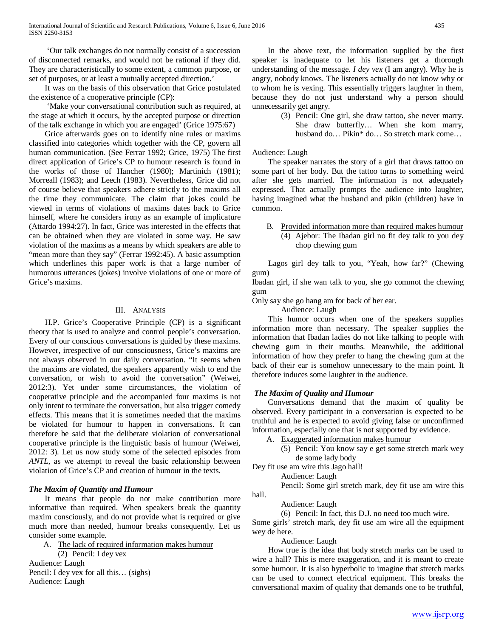'Our talk exchanges do not normally consist of a succession of disconnected remarks, and would not be rational if they did. They are characteristically to some extent, a common purpose, or set of purposes, or at least a mutually accepted direction.'

 It was on the basis of this observation that Grice postulated the existence of a cooperative principle (CP):

 'Make your conversational contribution such as required, at the stage at which it occurs, by the accepted purpose or direction of the talk exchange in which you are engaged' (Grice 1975:67)

 Grice afterwards goes on to identify nine rules or maxims classified into categories which together with the CP, govern all human communication. (See Ferrar 1992; Grice, 1975) The first direct application of Grice's CP to humour research is found in the works of those of Hancher (1980); Martinich (1981); Morreall (1983); and Leech (1983). Nevertheless, Grice did not of course believe that speakers adhere strictly to the maxims all the time they communicate. The claim that jokes could be viewed in terms of violations of maxims dates back to Grice himself, where he considers irony as an example of implicature (Attardo 1994:27). In fact, Grice was interested in the effects that can be obtained when they are violated in some way. He saw violation of the maxims as a means by which speakers are able to "mean more than they say" (Ferrar 1992:45). A basic assumption which underlines this paper work is that a large number of humorous utterances (jokes) involve violations of one or more of Grice's maxims.

## III. ANALYSIS

 H.P. Grice's Cooperative Principle (CP) is a significant theory that is used to analyze and control people's conversation. Every of our conscious conversations is guided by these maxims. However, irrespective of our consciousness, Grice's maxims are not always observed in our daily conversation. "It seems when the maxims are violated, the speakers apparently wish to end the conversation, or wish to avoid the conversation" (Weiwei, 2012:3). Yet under some circumstances, the violation of cooperative principle and the accompanied four maxims is not only intent to terminate the conversation, but also trigger comedy effects. This means that it is sometimes needed that the maxims be violated for humour to happen in conversations. It can therefore be said that the deliberate violation of conversational cooperative principle is the linguistic basis of humour (Weiwei, 2012: 3). Let us now study some of the selected episodes from *ANTL,* as we attempt to reveal the basic relationship between violation of Grice's CP and creation of humour in the texts.

### *The Maxim of Quantity and Humour*

 It means that people do not make contribution more informative than required. When speakers break the quantity maxim consciously, and do not provide what is required or give much more than needed, humour breaks consequently. Let us consider some example.

A. The lack of required information makes humour

(2) Pencil: I dey vex Audience: Laugh Pencil: I dey vex for all this… (sighs) Audience: Laugh

 In the above text, the information supplied by the first speaker is inadequate to let his listeners get a thorough understanding of the message*. I dey vex* (I am angry). Why he is angry, nobody knows. The listeners actually do not know why or to whom he is vexing. This essentially triggers laughter in them, because they do not just understand why a person should unnecessarily get angry.

> (3) Pencil: One girl, she draw tattoo, she never marry. She draw butterfly… When she kom marry, husband do… Pikin\* do… So stretch mark come…

## Audience: Laugh

 The speaker narrates the story of a girl that draws tattoo on some part of her body. But the tattoo turns to something weird after she gets married. The information is not adequately expressed. That actually prompts the audience into laughter, having imagined what the husband and pikin (children) have in common.

## B. Provided information more than required makes humour (4) Ajebor: The Ibadan girl no fit dey talk to you dey chop chewing gum

 Lagos girl dey talk to you, "Yeah, how far?" (Chewing gum)

Ibadan girl, if she wan talk to you, she go commot the chewing gum

Only say she go hang am for back of her ear.

Audience: Laugh

 This humor occurs when one of the speakers supplies information more than necessary. The speaker supplies the information that Ibadan ladies do not like talking to people with chewing gum in their mouths. Meanwhile, the additional information of how they prefer to hang the chewing gum at the back of their ear is somehow unnecessary to the main point. It therefore induces some laughter in the audience.

# *The Maxim of Quality and Humour*

 Conversations demand that the maxim of quality be observed. Every participant in a conversation is expected to be truthful and he is expected to avoid giving false or unconfirmed information, especially one that is not supported by evidence.

- A. Exaggerated information makes humour
	- (5) Pencil: You know say e get some stretch mark wey de some lady body
- Dey fit use am wire this Jago hall!

Audience: Laugh

Pencil: Some girl stretch mark, dey fit use am wire this hall.

Audience: Laugh

(6) Pencil: In fact, this D.J. no need too much wire.

Some girls' stretch mark, dey fit use am wire all the equipment wey de here.

Audience: Laugh

 How true is the idea that body stretch marks can be used to wire a hall? This is mere exaggeration, and it is meant to create some humour. It is also hyperbolic to imagine that stretch marks can be used to connect electrical equipment. This breaks the conversational maxim of quality that demands one to be truthful,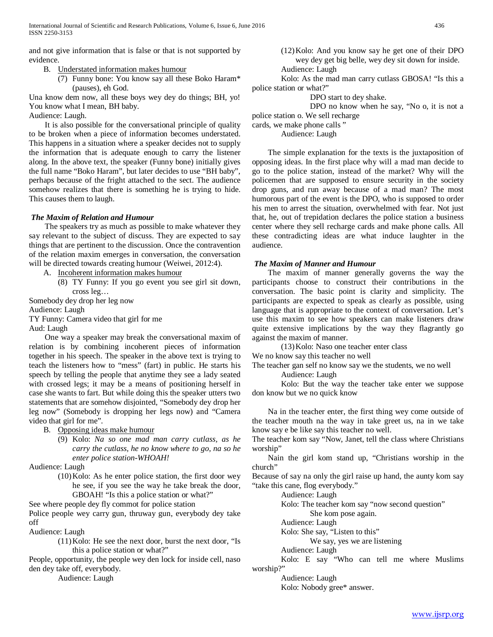and not give information that is false or that is not supported by evidence.

B. Understated information makes humour

(7) Funny bone: You know say all these Boko Haram\* (pauses), eh God.

Una know dem now, all these boys wey dey do things; BH, yo! You know what I mean, BH baby.

Audience: Laugh.

 It is also possible for the conversational principle of quality to be broken when a piece of information becomes understated. This happens in a situation where a speaker decides not to supply the information that is adequate enough to carry the listener along. In the above text, the speaker (Funny bone) initially gives the full name "Boko Haram", but later decides to use "BH baby", perhaps because of the fright attached to the sect. The audience somehow realizes that there is something he is trying to hide. This causes them to laugh.

# *The Maxim of Relation and Humour*

 The speakers try as much as possible to make whatever they say relevant to the subject of discuss. They are expected to say things that are pertinent to the discussion. Once the contravention of the relation maxim emerges in conversation, the conversation will be directed towards creating humour (Weiwei, 2012:4).

A. Incoherent information makes humour

(8) TY Funny: If you go event you see girl sit down, cross leg…

Somebody dey drop her leg now

Audience: Laugh

TY Funny: Camera video that girl for me

Aud: Laugh

 One way a speaker may break the conversational maxim of relation is by combining incoherent pieces of information together in his speech. The speaker in the above text is trying to teach the listeners how to "mess" (fart) in public. He starts his speech by telling the people that anytime they see a lady seated with crossed legs; it may be a means of positioning herself in case she wants to fart. But while doing this the speaker utters two statements that are somehow disjointed, "Somebody dey drop her leg now" (Somebody is dropping her legs now) and "Camera video that girl for me".

B. Opposing ideas make humour

(9) Kolo: *Na so one mad man carry cutlass, as he carry the cutlass, he no know where to go, na so he enter police station-WHOAH!*

Audience: Laugh

(10)Kolo: As he enter police station, the first door wey he see, if you see the way he take break the door, GBOAH! "Is this a police station or what?"

See where people dey fly commot for police station

Police people wey carry gun, thruway gun, everybody dey take off

Audience: Laugh

(11)Kolo: He see the next door, burst the next door, "Is this a police station or what?"

People, opportunity, the people wey den lock for inside cell, naso den dey take off, everybody.

Audience: Laugh

(12)Kolo: And you know say he get one of their DPO wey dey get big belle, wey dey sit down for inside. Audience: Laugh

Kolo: As the mad man carry cutlass GBOSA! "Is this a police station or what?"

DPO start to dey shake.

DPO no know when he say, "No o, it is not a police station o. We sell recharge

cards, we make phone calls "

Audience: Laugh

 The simple explanation for the texts is the juxtaposition of opposing ideas. In the first place why will a mad man decide to go to the police station, instead of the market? Why will the policemen that are supposed to ensure security in the society drop guns, and run away because of a mad man? The most humorous part of the event is the DPO, who is supposed to order his men to arrest the situation, overwhelmed with fear. Not just that, he, out of trepidation declares the police station a business center where they sell recharge cards and make phone calls. All these contradicting ideas are what induce laughter in the audience.

# *The Maxim of Manner and Humour*

 The maxim of manner generally governs the way the participants choose to construct their contributions in the conversation. The basic point is clarity and simplicity. The participants are expected to speak as clearly as possible, using language that is appropriate to the context of conversation. Let's use this maxim to see how speakers can make listeners draw quite extensive implications by the way they flagrantly go against the maxim of manner.

(13)Kolo: Naso one teacher enter class

We no know say this teacher no well

The teacher gan self no know say we the students, we no well Audience: Laugh

Kolo: But the way the teacher take enter we suppose don know but we no quick know

 Na in the teacher enter, the first thing wey come outside of the teacher mouth na the way in take greet us, na in we take know say e be like say this teacher no well.

The teacher kom say "Now, Janet, tell the class where Christians worship"

 Nain the girl kom stand up, "Christians worship in the church"

Because of say na only the girl raise up hand, the aunty kom say "take this cane, flog everybody."

Audience: Laugh

Kolo: The teacher kom say "now second question" She kom pose again.

Audience: Laugh

Kolo: She say, "Listen to this"

We say, yes we are listening

Audience: Laugh

Kolo: E say "Who can tell me where Muslims worship?"

Audience: Laugh

Kolo: Nobody gree\* answer.